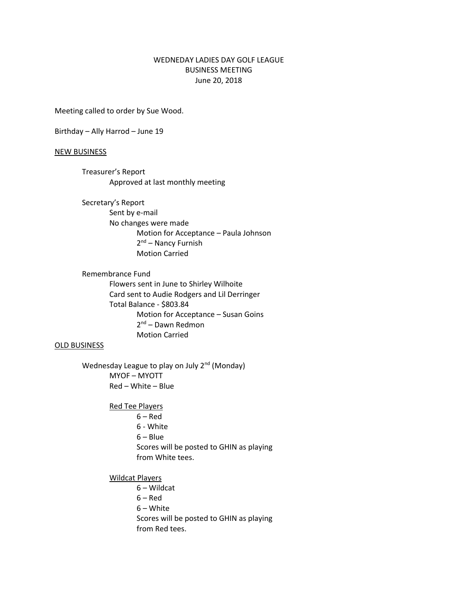## WEDNEDAY LADIES DAY GOLF LEAGUE BUSINESS MEETING June 20, 2018

Meeting called to order by Sue Wood.

Birthday – Ally Harrod – June 19

## NEW BUSINESS

Treasurer's Report Approved at last monthly meeting

Secretary's Report Sent by e-mail No changes were made Motion for Acceptance – Paula Johnson 2<sup>nd</sup> – Nancy Furnish Motion Carried

Remembrance Fund Flowers sent in June to Shirley Wilhoite Card sent to Audie Rodgers and Lil Derringer Total Balance - \$803.84 Motion for Acceptance – Susan Goins 2<sup>nd</sup> – Dawn Redmon Motion Carried

## OLD BUSINESS

Wednesday League to play on July 2<sup>nd</sup> (Monday) MYOF – MYOTT Red – White – Blue

> Red Tee Players  $6 - Red$ 6 - White 6 – Blue Scores will be posted to GHIN as playing from White tees.

Wildcat Players

6 – Wildcat 6 – Red 6 – White Scores will be posted to GHIN as playing from Red tees.